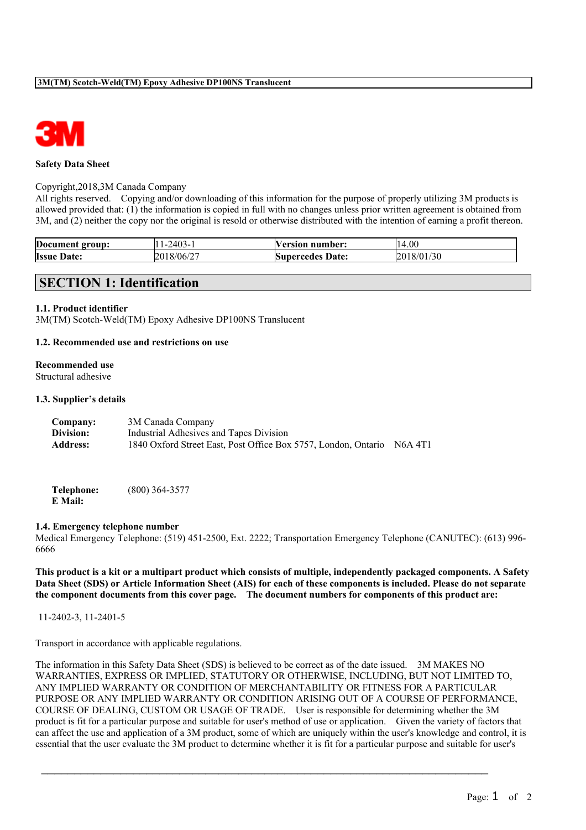

#### **Safety Data Sheet**

#### Copyright,2018,3M Canada Company

All rights reserved. Copying and/or downloading of this information for the purpose of properly utilizing 3M products is allowed provided that: (1) the information is copied in full with no changes unless prior written agreement is obtained from 3M, and (2) neither the copy nor the original is resold or otherwise distributed with the intention of earning a profit thereon.

| Document group:       | 2403-1<br>. . | /ersion<br>number:      | 14.00      |
|-----------------------|---------------|-------------------------|------------|
| <b>Issue</b><br>Date: | 2018/06/27    | <b>Supercedes Date:</b> | 2018/01/30 |

# **SECTION 1: Identification**

#### **1.1. Product identifier**

3M(TM) Scotch-Weld(TM) Epoxy Adhesive DP100NS Translucent

#### **1.2. Recommended use and restrictions on use**

#### **Recommended use**

Structural adhesive

#### **1.3. Supplier's details**

| Company:        | 3M Canada Company                                              |         |
|-----------------|----------------------------------------------------------------|---------|
| Division:       | Industrial Adhesives and Tapes Division                        |         |
| <b>Address:</b> | 1840 Oxford Street East, Post Office Box 5757, London, Ontario | N6A 4T1 |

**Telephone:** (800) 364-3577 **E Mail:**

#### **1.4. Emergency telephone number**

Medical Emergency Telephone: (519) 451-2500, Ext. 2222; Transportation Emergency Telephone (CANUTEC): (613) 996- 6666

This product is a kit or a multipart product which consists of multiple, independently packaged components. A Safety Data Sheet (SDS) or Article Information Sheet (AIS) for each of these components is included. Please do not separate **the component documents from this cover page. The document numbers for components of this product are:**

11-2402-3, 11-2401-5

Transport in accordance with applicable regulations.

The information in this Safety Data Sheet (SDS) is believed to be correct as of the date issued. 3M MAKES NO WARRANTIES, EXPRESS OR IMPLIED, STATUTORY OR OTHERWISE, INCLUDING, BUT NOT LIMITED TO, ANY IMPLIED WARRANTY OR CONDITION OF MERCHANTABILITY OR FITNESS FOR A PARTICULAR PURPOSE OR ANY IMPLIED WARRANTY OR CONDITION ARISING OUT OF A COURSE OF PERFORMANCE, COURSE OF DEALING, CUSTOM OR USAGE OF TRADE. User is responsible for determining whether the 3M product is fit for a particular purpose and suitable for user's method of use or application. Given the variety of factors that can affect the use and application of a 3M product, some of which are uniquely within the user's knowledge and control, it is essential that the user evaluate the 3M product to determine whether it is fit for a particular purpose and suitable for user's

 $\mathcal{L}_\text{max}$  , and the contract of the contract of the contract of the contract of the contract of the contract of the contract of the contract of the contract of the contract of the contract of the contract of the contr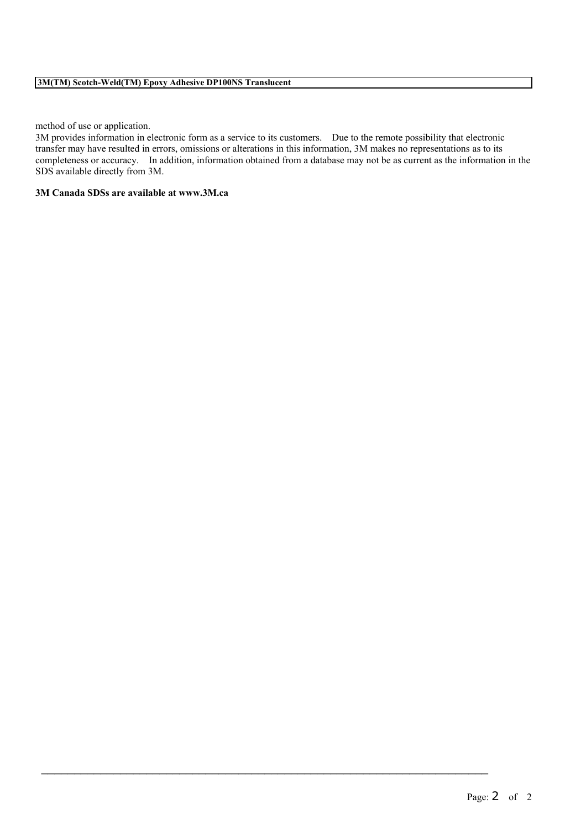method of use or application.

3M provides information in electronic form as a service to its customers. Due to the remote possibility that electronic transfer may have resulted in errors, omissions or alterations in this information, 3M makes no representations as to its completeness or accuracy. In addition, information obtained from a database may not be as current as the information in the SDS available directly from 3M.

 $\mathcal{L}_\text{max}$  , and the contract of the contract of the contract of the contract of the contract of the contract of the contract of the contract of the contract of the contract of the contract of the contract of the contr

# **3M Canada SDSs are available at www.3M.ca**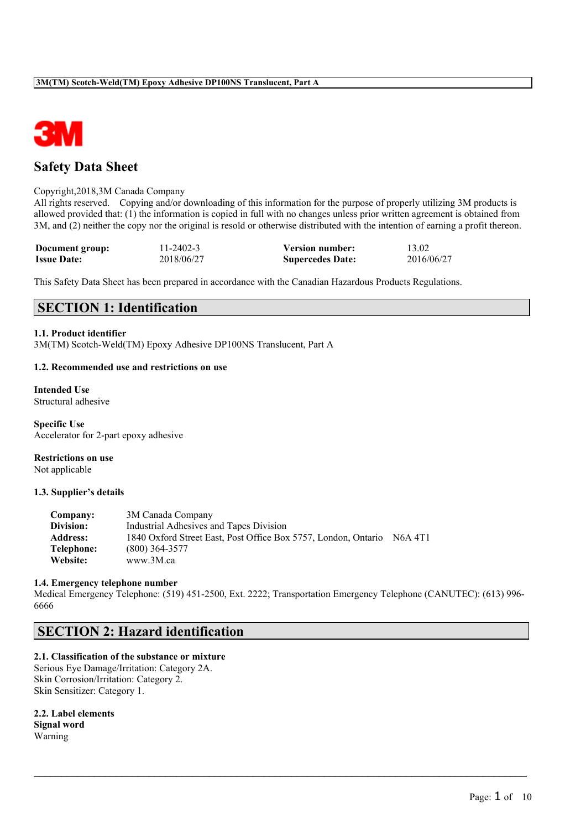

# **Safety Data Sheet**

### Copyright,2018,3M Canada Company

All rights reserved. Copying and/or downloading of this information for the purpose of properly utilizing 3M products is allowed provided that: (1) the information is copied in full with no changes unless prior written agreement is obtained from 3M, and (2) neither the copy nor the original is resold or otherwise distributed with the intention of earning a profit thereon.

| Document group:    | $11 - 2402 - 3$ | <b>Version number:</b>  | 13.02      |
|--------------------|-----------------|-------------------------|------------|
| <b>Issue Date:</b> | 2018/06/27      | <b>Supercedes Date:</b> | 2016/06/27 |

This Safety Data Sheet has been prepared in accordance with the Canadian Hazardous Products Regulations.

# **SECTION 1: Identification**

### **1.1. Product identifier**

3M(TM) Scotch-Weld(TM) Epoxy Adhesive DP100NS Translucent, Part A

#### **1.2. Recommended use and restrictions on use**

**Intended Use** Structural adhesive

**Specific Use** Accelerator for 2-part epoxy adhesive

**Restrictions on use** Not applicable

#### **1.3. Supplier's details**

| Company:        | 3M Canada Company                                              |         |
|-----------------|----------------------------------------------------------------|---------|
| Division:       | Industrial Adhesives and Tapes Division                        |         |
| <b>Address:</b> | 1840 Oxford Street East, Post Office Box 5757, London, Ontario | N6A 4T1 |
| Telephone:      | $(800)$ 364-3577                                               |         |
| Website:        | www.3M.ca                                                      |         |

#### **1.4. Emergency telephone number**

Medical Emergency Telephone: (519) 451-2500, Ext. 2222; Transportation Emergency Telephone (CANUTEC): (613) 996- 6666

 $\mathcal{L}_\mathcal{L} = \{ \mathcal{L}_\mathcal{L} = \{ \mathcal{L}_\mathcal{L} = \{ \mathcal{L}_\mathcal{L} = \{ \mathcal{L}_\mathcal{L} = \{ \mathcal{L}_\mathcal{L} = \{ \mathcal{L}_\mathcal{L} = \{ \mathcal{L}_\mathcal{L} = \{ \mathcal{L}_\mathcal{L} = \{ \mathcal{L}_\mathcal{L} = \{ \mathcal{L}_\mathcal{L} = \{ \mathcal{L}_\mathcal{L} = \{ \mathcal{L}_\mathcal{L} = \{ \mathcal{L}_\mathcal{L} = \{ \mathcal{L}_\mathcal{$ 

# **SECTION 2: Hazard identification**

# **2.1. Classification of the substance or mixture**

Serious Eye Damage/Irritation: Category 2A. Skin Corrosion/Irritation: Category 2. Skin Sensitizer: Category 1.

**2.2. Label elements Signal word** Warning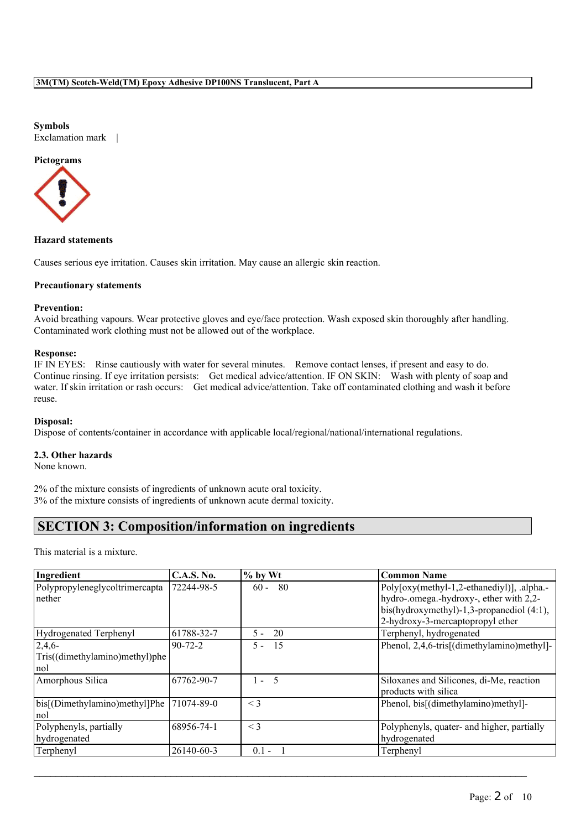#### **Symbols**

Exclamation mark |

# **Pictograms**



# **Hazard statements**

Causes serious eye irritation. Causes skin irritation. May cause an allergic skin reaction.

# **Precautionary statements**

#### **Prevention:**

Avoid breathing vapours. Wear protective gloves and eye/face protection. Wash exposed skin thoroughly after handling. Contaminated work clothing must not be allowed out of the workplace.

# **Response:**

IF IN EYES: Rinse cautiously with water for several minutes. Remove contact lenses, if present and easy to do. Continue rinsing. If eye irritation persists: Get medical advice/attention. IF ON SKIN: Wash with plenty of soap and water. If skin irritation or rash occurs: Get medical advice/attention. Take off contaminated clothing and wash it before reuse.

# **Disposal:**

Dispose of contents/container in accordance with applicable local/regional/national/international regulations.

# **2.3. Other hazards**

None known.

2% of the mixture consists of ingredients of unknown acute oral toxicity. 3% of the mixture consists of ingredients of unknown acute dermal toxicity.

# **SECTION 3: Composition/information on ingredients**

This material is a mixture.

| Ingredient                     | <b>C.A.S. No.</b> | $\%$ by Wt    | <b>Common Name</b>                         |
|--------------------------------|-------------------|---------------|--------------------------------------------|
| Polypropyleneglycoltrimercapta | 72244-98-5        | -80<br>$60 -$ | Poly[oxy(methyl-1,2-ethanediyl)], .alpha.- |
| nether                         |                   |               | hydro-.omega.-hydroxy-, ether with 2,2-    |
|                                |                   |               | bis(hydroxymethyl)-1,3-propanediol (4:1),  |
|                                |                   |               | 2-hydroxy-3-mercaptopropyl ether           |
| Hydrogenated Terphenyl         | 61788-32-7        | 20<br>$5 -$   | Terphenyl, hydrogenated                    |
| 2,4,6                          | $90 - 72 - 2$     | $5 -$<br>15   | Phenol, 2,4,6-tris[(dimethylamino)methyl]- |
| Tris((dimethylamino)methyl)phe |                   |               |                                            |
| nol                            |                   |               |                                            |
| Amorphous Silica               | 67762-90-7        | $1 - 5$       | Siloxanes and Silicones, di-Me, reaction   |
|                                |                   |               | products with silica                       |
| bis[(Dimethylamino)methyl]Phe  | 71074-89-0        | $\leq$ 3      | Phenol, bis[(dimethylamino)methyl]-        |
| nol                            |                   |               |                                            |
| Polyphenyls, partially         | 68956-74-1        | $\leq$ 3      | Polyphenyls, quater- and higher, partially |
| hydrogenated                   |                   |               | hydrogenated                               |
| Terphenyl                      | 26140-60-3        | $0.1 -$       | Terphenyl                                  |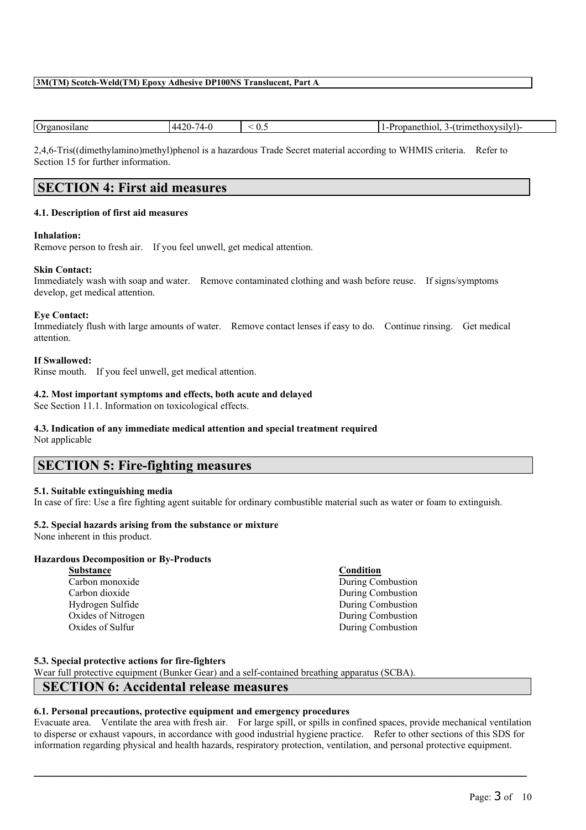| )r | $4^{\prime}$<br> | $\mathbf{v}$ . | .<br>101<br>no.<br>пŧ<br>. .<br>. |
|----|------------------|----------------|-----------------------------------|
|    |                  |                |                                   |

2,4,6-Tris((dimethylamino)methyl)phenol is a hazardous Trade Secret material according to WHMIS criteria. Refer to Section 15 for further information.

# **SECTION 4: First aid measures**

# **4.1. Description of first aid measures**

# **Inhalation:**

Remove person to fresh air. If you feel unwell, get medical attention.

# **Skin Contact:**

Immediately wash with soap and water. Remove contaminated clothing and wash before reuse. If signs/symptoms develop, get medical attention.

#### **Eye Contact:**

Immediately flush with large amounts of water. Remove contact lenses if easy to do. Continue rinsing. Get medical attention.

### **If Swallowed:**

Rinse mouth. If you feel unwell, get medical attention.

# **4.2. Most important symptoms and effects, both acute and delayed**

See Section 11.1. Information on toxicological effects.

# **4.3. Indication of any immediate medical attention and special treatment required**

Not applicable

# **SECTION 5: Fire-fighting measures**

# **5.1. Suitable extinguishing media**

In case of fire: Use a fire fighting agent suitable for ordinary combustible material such as water or foam to extinguish.

# **5.2. Special hazards arising from the substance or mixture**

None inherent in this product.

# **Hazardous Decomposition or By-Products**

**Substance Condition** Oxides of Sulfur During Combustion

Carbon monoxide During Combustion Carbon dioxide During Combustion Hydrogen Sulfide During Combustion Oxides of Nitrogen During Combustion

# **5.3. Special protective actions for fire-fighters**

Wear full protective equipment (Bunker Gear) and a self-contained breathing apparatus (SCBA).

# **SECTION 6: Accidental release measures**

# **6.1. Personal precautions, protective equipment and emergency procedures**

Evacuate area. Ventilate the area with fresh air. For large spill, or spills in confined spaces, provide mechanical ventilation to disperse or exhaust vapours, in accordance with good industrial hygiene practice. Refer to other sections of this SDS for information regarding physical and health hazards, respiratory protection, ventilation, and personal protective equipment.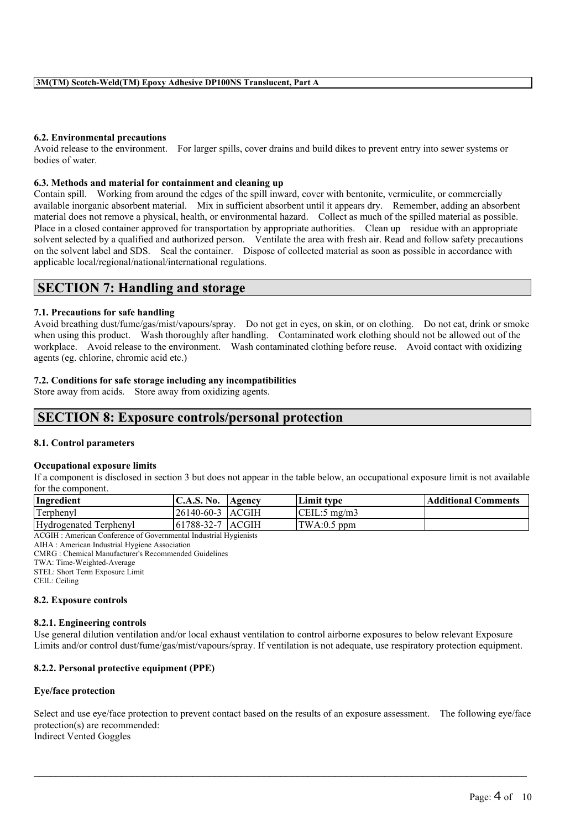# **6.2. Environmental precautions**

Avoid release to the environment. For larger spills, cover drains and build dikes to prevent entry into sewer systems or bodies of water.

# **6.3. Methods and material for containment and cleaning up**

Contain spill. Working from around the edges of the spill inward, cover with bentonite, vermiculite, or commercially available inorganic absorbent material. Mix in sufficient absorbent until it appears dry. Remember, adding an absorbent material does not remove a physical, health, or environmental hazard. Collect as much of the spilled material as possible. Place in a closed container approved for transportation by appropriate authorities. Clean up residue with an appropriate solvent selected by a qualified and authorized person. Ventilate the area with fresh air. Read and follow safety precautions on the solvent label and SDS. Seal the container. Dispose of collected material as soon as possible in accordance with applicable local/regional/national/international regulations.

# **SECTION 7: Handling and storage**

#### **7.1. Precautions for safe handling**

Avoid breathing dust/fume/gas/mist/vapours/spray. Do not get in eyes, on skin, or on clothing. Do not eat, drink or smoke when using this product. Wash thoroughly after handling. Contaminated work clothing should not be allowed out of the workplace. Avoid release to the environment. Wash contaminated clothing before reuse. Avoid contact with oxidizing agents (eg. chlorine, chromic acid etc.)

### **7.2. Conditions for safe storage including any incompatibilities**

Store away from acids. Store away from oxidizing agents.

# **SECTION 8: Exposure controls/personal protection**

#### **8.1. Control parameters**

#### **Occupational exposure limits**

If a component is disclosed in section 3 but does not appear in the table below, an occupational exposure limit is not available for the component.

| Ingredient             | C.A.S. No.         | Agency | <b>Limit type</b>    | <b>Additional Comments</b> |
|------------------------|--------------------|--------|----------------------|----------------------------|
| Terphenyl              | 26140-60-3 ACGIH   |        | $\vert$ CEIL:5 mg/m3 |                            |
| Hydrogenated Terphenyl | 161788-32-7 IACGIH |        | $\text{TWA:0.5 ppm}$ |                            |

ACGIH : American Conference of Governmental Industrial Hygienists

AIHA : American Industrial Hygiene Association

CMRG : Chemical Manufacturer's Recommended Guidelines

TWA: Time-Weighted-Average STEL: Short Term Exposure Limit

CEIL: Ceiling

#### **8.2. Exposure controls**

#### **8.2.1. Engineering controls**

Use general dilution ventilation and/or local exhaust ventilation to control airborne exposures to below relevant Exposure Limits and/or control dust/fume/gas/mist/vapours/spray. If ventilation is not adequate, use respiratory protection equipment.

# **8.2.2. Personal protective equipment (PPE)**

# **Eye/face protection**

Select and use eye/face protection to prevent contact based on the results of an exposure assessment. The following eye/face protection(s) are recommended: Indirect Vented Goggles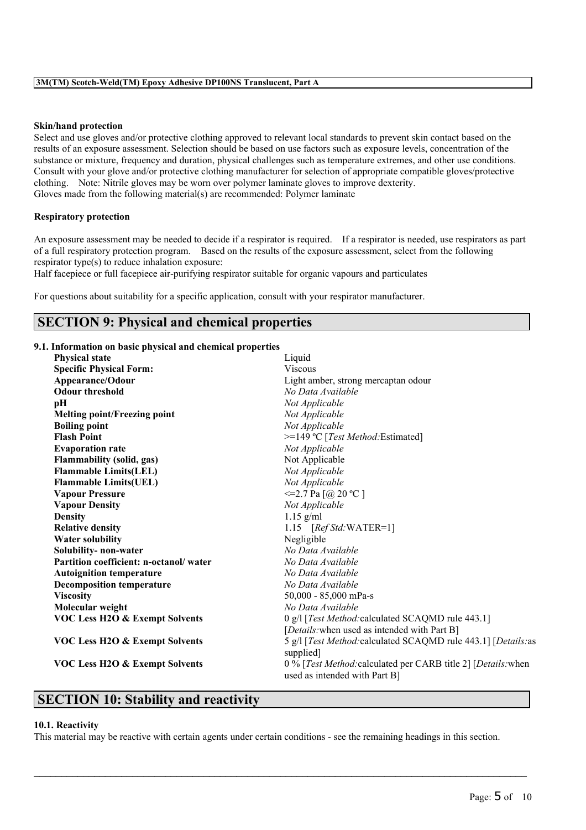#### **Skin/hand protection**

Select and use gloves and/or protective clothing approved to relevant local standards to prevent skin contact based on the results of an exposure assessment. Selection should be based on use factors such as exposure levels, concentration of the substance or mixture, frequency and duration, physical challenges such as temperature extremes, and other use conditions. Consult with your glove and/or protective clothing manufacturer for selection of appropriate compatible gloves/protective clothing. Note: Nitrile gloves may be worn over polymer laminate gloves to improve dexterity. Gloves made from the following material(s) are recommended: Polymer laminate

# **Respiratory protection**

An exposure assessment may be needed to decide if a respirator is required. If a respirator is needed, use respirators as part of a full respiratory protection program. Based on the results of the exposure assessment, select from the following respirator type(s) to reduce inhalation exposure:

Half facepiece or full facepiece air-purifying respirator suitable for organic vapours and particulates

For questions about suitability for a specific application, consult with your respirator manufacturer.

# **SECTION 9: Physical and chemical properties**

#### **9.1. Information on basic physical and chemical properties**

| <b>Physical state</b>                     | Liquid                                                                                         |
|-------------------------------------------|------------------------------------------------------------------------------------------------|
| <b>Specific Physical Form:</b>            | <b>Viscous</b>                                                                                 |
| Appearance/Odour                          | Light amber, strong mercaptan odour                                                            |
| <b>Odour threshold</b>                    | No Data Available                                                                              |
| pH                                        | Not Applicable                                                                                 |
| <b>Melting point/Freezing point</b>       | Not Applicable                                                                                 |
| <b>Boiling point</b>                      | Not Applicable                                                                                 |
| <b>Flash Point</b>                        | >=149 °C [Test Method: Estimated]                                                              |
| <b>Evaporation rate</b>                   | Not Applicable                                                                                 |
| <b>Flammability (solid, gas)</b>          | Not Applicable                                                                                 |
| <b>Flammable Limits(LEL)</b>              | Not Applicable                                                                                 |
| <b>Flammable Limits(UEL)</b>              | Not Applicable                                                                                 |
| <b>Vapour Pressure</b>                    | $\leq$ =2.7 Pa [@ 20 °C ]                                                                      |
| <b>Vapour Density</b>                     | Not Applicable                                                                                 |
| <b>Density</b>                            | $1.15$ g/ml                                                                                    |
| <b>Relative density</b>                   | 1.15 $[RefStd:WATER=1]$                                                                        |
| <b>Water solubility</b>                   | Negligible                                                                                     |
| Solubility- non-water                     | No Data Available                                                                              |
| Partition coefficient: n-octanol/water    | No Data Available                                                                              |
| <b>Autoignition temperature</b>           | No Data Available                                                                              |
| <b>Decomposition temperature</b>          | No Data Available                                                                              |
| <b>Viscosity</b>                          | $50,000 - 85,000$ mPa-s                                                                        |
| Molecular weight                          | No Data Available                                                                              |
| <b>VOC Less H2O &amp; Exempt Solvents</b> | 0 g/l [Test Method: calculated SCAQMD rule 443.1]                                              |
|                                           | [Details: when used as intended with Part B]                                                   |
| <b>VOC Less H2O &amp; Exempt Solvents</b> | 5 g/l [Test Method: calculated SCAQMD rule 443.1] [Details: as<br>supplied]                    |
| <b>VOC Less H2O &amp; Exempt Solvents</b> | 0 % [Test Method: calculated per CARB title 2] [Details: when<br>used as intended with Part B] |

# **SECTION 10: Stability and reactivity**

#### **10.1. Reactivity**

This material may be reactive with certain agents under certain conditions - see the remaining headings in this section.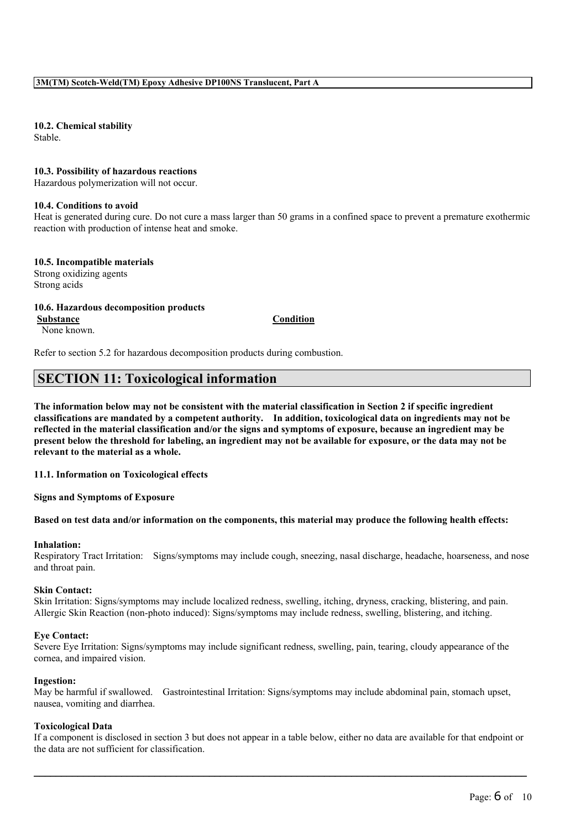**10.2. Chemical stability** Stable.

**10.3. Possibility of hazardous reactions**

Hazardous polymerization will not occur.

### **10.4. Conditions to avoid**

Heat is generated during cure. Do not cure a mass larger than 50 grams in a confined space to prevent a premature exothermic reaction with production of intense heat and smoke.

#### **10.5. Incompatible materials**

Strong oxidizing agents Strong acids

# **10.6. Hazardous decomposition products**

**Substance Condition**

None known.

Refer to section 5.2 for hazardous decomposition products during combustion.

# **SECTION 11: Toxicological information**

The information below may not be consistent with the material classification in Section 2 if specific ingredient **classifications are mandated by a competent authority. In addition, toxicological data on ingredients may not be** reflected in the material classification and/or the signs and symptoms of exposure, because an ingredient may be present below the threshold for labeling, an ingredient may not be available for exposure, or the data may not be **relevant to the material as a whole.**

# **11.1. Information on Toxicological effects**

**Signs and Symptoms of Exposure**

#### Based on test data and/or information on the components, this material may produce the following health effects:

#### **Inhalation:**

Respiratory Tract Irritation: Signs/symptoms may include cough, sneezing, nasal discharge, headache, hoarseness, and nose and throat pain.

# **Skin Contact:**

Skin Irritation: Signs/symptoms may include localized redness, swelling, itching, dryness, cracking, blistering, and pain. Allergic Skin Reaction (non-photo induced): Signs/symptoms may include redness, swelling, blistering, and itching.

#### **Eye Contact:**

Severe Eye Irritation: Signs/symptoms may include significant redness, swelling, pain, tearing, cloudy appearance of the cornea, and impaired vision.

#### **Ingestion:**

May be harmful if swallowed. Gastrointestinal Irritation: Signs/symptoms may include abdominal pain, stomach upset, nausea, vomiting and diarrhea.

#### **Toxicological Data**

If a component is disclosed in section 3 but does not appear in a table below, either no data are available for that endpoint or the data are not sufficient for classification.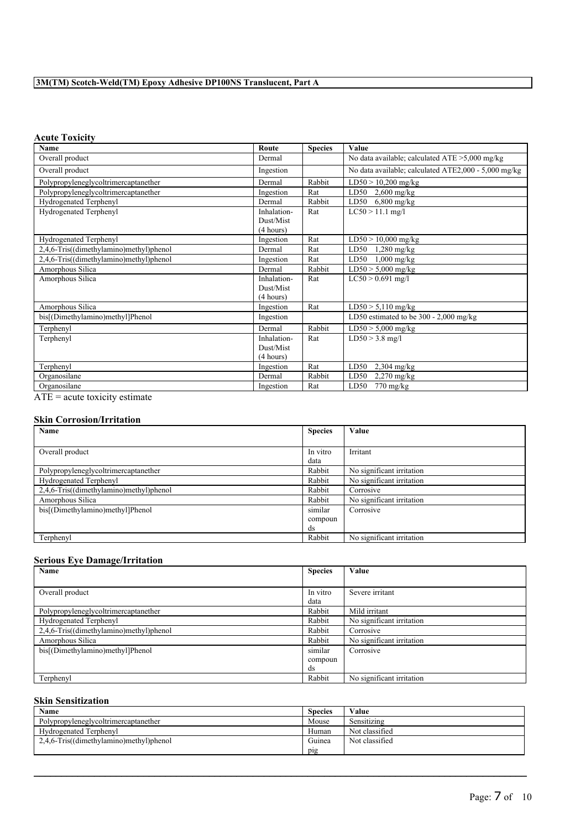# **Acute Toxicity**

| Name                                                                                                                            | Route       | <b>Species</b> | Value                                                |
|---------------------------------------------------------------------------------------------------------------------------------|-------------|----------------|------------------------------------------------------|
| Overall product                                                                                                                 | Dermal      |                | No data available; calculated $ATE > 5,000$ mg/kg    |
| Overall product                                                                                                                 | Ingestion   |                | No data available; calculated ATE2,000 - 5,000 mg/kg |
| Polypropyleneglycoltrimercaptanether                                                                                            | Dermal      | Rabbit         | $LD50 > 10,200$ mg/kg                                |
| Polypropyleneglycoltrimercaptanether                                                                                            | Ingestion   | Rat            | LD50 $2,600$ mg/kg                                   |
| Hydrogenated Terphenyl                                                                                                          | Dermal      | Rabbit         | LD50 $6,800$ mg/kg                                   |
| Hydrogenated Terphenyl                                                                                                          | Inhalation- | Rat            | $LC50 > 11.1$ mg/l                                   |
|                                                                                                                                 | Dust/Mist   |                |                                                      |
|                                                                                                                                 | (4 hours)   |                |                                                      |
| Hydrogenated Terphenyl                                                                                                          | Ingestion   | Rat            | $LD50 > 10,000$ mg/kg                                |
| 2,4,6-Tris((dimethylamino)methyl)phenol                                                                                         | Dermal      | Rat            | LD50<br>$1,280$ mg/kg                                |
| 2,4,6-Tris((dimethylamino)methyl)phenol                                                                                         | Ingestion   | Rat            | LD50<br>$1,000$ mg/kg                                |
| Amorphous Silica                                                                                                                | Dermal      | Rabbit         | $LD50 > 5,000$ mg/kg                                 |
| Amorphous Silica                                                                                                                | Inhalation- | Rat            | $LC50 > 0.691$ mg/l                                  |
|                                                                                                                                 | Dust/Mist   |                |                                                      |
|                                                                                                                                 | (4 hours)   |                |                                                      |
| Amorphous Silica                                                                                                                | Ingestion   | Rat            | $LD50 > 5,110$ mg/kg                                 |
| bis[(Dimethylamino)methyl]Phenol                                                                                                | Ingestion   |                | LD50 estimated to be $300 - 2,000$ mg/kg             |
| Terphenyl                                                                                                                       | Dermal      | Rabbit         | $LD50 > 5,000$ mg/kg                                 |
| Terphenyl                                                                                                                       | Inhalation- | Rat            | $LD50 > 3.8$ mg/l                                    |
|                                                                                                                                 | Dust/Mist   |                |                                                      |
|                                                                                                                                 | (4 hours)   |                |                                                      |
| Terphenyl                                                                                                                       | Ingestion   | Rat            | LD50<br>$2,304$ mg/kg                                |
| Organosilane                                                                                                                    | Dermal      | Rabbit         | LD50<br>$2,270$ mg/kg                                |
| Organosilane<br>the contract of the contract of the contract of the contract of the contract of the contract of the contract of | Ingestion   | Rat            | LD50<br>$770 \text{ mg/kg}$                          |

ATE = acute toxicity estimate

# **Skin Corrosion/Irritation**

| Name                                    | <b>Species</b> | Value                     |
|-----------------------------------------|----------------|---------------------------|
|                                         |                |                           |
| Overall product                         | In vitro       | Irritant                  |
|                                         | data           |                           |
| Polypropyleneglycoltrimercaptanether    | Rabbit         | No significant irritation |
| Hydrogenated Terphenyl                  | Rabbit         | No significant irritation |
| 2,4,6-Tris((dimethylamino)methyl)phenol | Rabbit         | Corrosive                 |
| Amorphous Silica                        | Rabbit         | No significant irritation |
| bis[(Dimethylamino)methyl]Phenol        | similar        | Corrosive                 |
|                                         | compoun        |                           |
|                                         | ds             |                           |
| Terphenyl                               | Rabbit         | No significant irritation |

# **Serious Eye Damage/Irritation**

| Name                                    | <b>Species</b> | Value                     |
|-----------------------------------------|----------------|---------------------------|
|                                         |                |                           |
| Overall product                         | In vitro       | Severe irritant           |
|                                         | data           |                           |
| Polypropyleneglycoltrimercaptanether    | Rabbit         | Mild irritant             |
| Hydrogenated Terphenyl                  | Rabbit         | No significant irritation |
| 2,4,6-Tris((dimethylamino)methyl)phenol | Rabbit         | Corrosive                 |
| Amorphous Silica                        | Rabbit         | No significant irritation |
| bis[(Dimethylamino)methyl]Phenol        | similar        | Corrosive                 |
|                                         | compoun        |                           |
|                                         | ds             |                           |
| Terphenyl                               | Rabbit         | No significant irritation |

# **Skin Sensitization**

| Name                                    | <b>Species</b> | Value          |
|-----------------------------------------|----------------|----------------|
| Polypropyleneglycoltrimercaptanether    | Mouse          | Sensitizing    |
| Hydrogenated Terphenyl                  | Human          | Not classified |
| 2,4,6-Tris((dimethylamino)methyl)phenol | Guinea         | Not classified |
|                                         | pig            |                |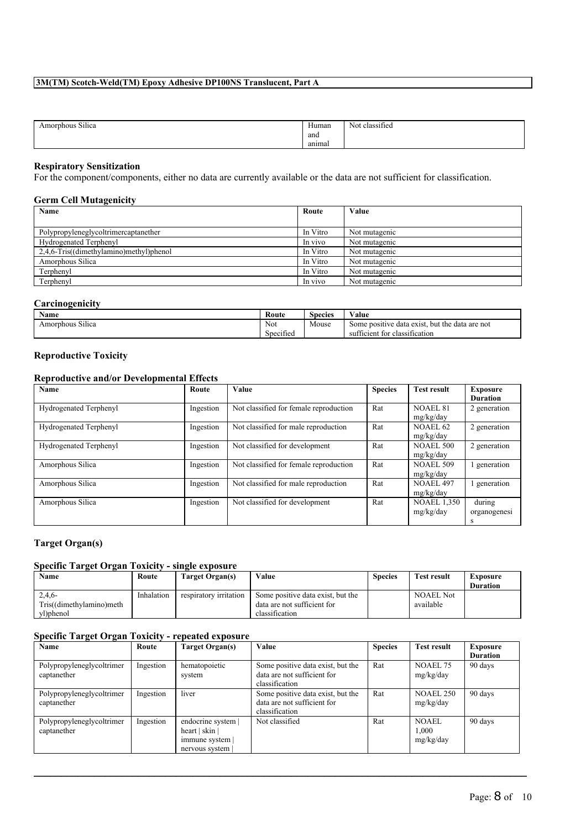| $-0.585$<br>Amorphous<br>: Silica | Human  | $\sim$<br>Not<br>classified |
|-----------------------------------|--------|-----------------------------|
|                                   | and    |                             |
|                                   | animal |                             |

# **Respiratory Sensitization**

For the component/components, either no data are currently available or the data are not sufficient for classification.

# **Germ Cell Mutagenicity**

| Name                                    | Route    | Value         |
|-----------------------------------------|----------|---------------|
|                                         |          |               |
| Polypropyleneglycoltrimercaptanether    | In Vitro | Not mutagenic |
| Hydrogenated Terphenyl                  | In vivo  | Not mutagenic |
| 2,4,6-Tris((dimethylamino)methyl)phenol | In Vitro | Not mutagenic |
| Amorphous Silica                        | In Vitro | Not mutagenic |
| Terphenyl                               | In Vitro | Not mutagenic |
| Terphenyl                               | In vivo  | Not mutagenic |

# **Carcinogenicity**

| Name                       | Route                         | $\sim$<br>Species | ⁄ alue                                                   |
|----------------------------|-------------------------------|-------------------|----------------------------------------------------------|
| $\sim$<br>Amorphous Silica | Not                           | Mouse             | e data exist.<br>but the data are not<br>Some positive   |
|                            | $\sim$<br>$\sim$<br>Specified |                   | <b>CONT</b><br>classification<br>ticient<br>tor.<br>suff |

# **Reproductive Toxicity**

# **Reproductive and/or Developmental Effects**

| Name                   | Route     | Value                                  | <b>Species</b> | <b>Test result</b> | <b>Exposure</b> |
|------------------------|-----------|----------------------------------------|----------------|--------------------|-----------------|
|                        |           |                                        |                |                    | <b>Duration</b> |
| Hydrogenated Terphenyl | Ingestion | Not classified for female reproduction | Rat            | <b>NOAEL 81</b>    | 2 generation    |
|                        |           |                                        |                | mg/kg/day          |                 |
| Hydrogenated Terphenyl | Ingestion | Not classified for male reproduction   | Rat            | <b>NOAEL 62</b>    | 2 generation    |
|                        |           |                                        |                | mg/kg/day          |                 |
| Hydrogenated Terphenyl | Ingestion | Not classified for development         | Rat            | <b>NOAEL 500</b>   | 2 generation    |
|                        |           |                                        |                | mg/kg/day          |                 |
| Amorphous Silica       | Ingestion | Not classified for female reproduction | Rat            | <b>NOAEL 509</b>   | generation      |
|                        |           |                                        |                | mg/kg/day          |                 |
| Amorphous Silica       | Ingestion | Not classified for male reproduction   | Rat            | <b>NOAEL 497</b>   | generation      |
|                        |           |                                        |                | mg/kg/day          |                 |
| Amorphous Silica       | Ingestion | Not classified for development         | Rat            | <b>NOAEL 1,350</b> | during          |
|                        |           |                                        |                | mg/kg/day          | organogenesi    |
|                        |           |                                        |                |                    | s               |

# **Target Organ(s)**

# **Specific Target Organ Toxicity - single exposure**

| Name                     | Route      | Target Organ(s)        | Value                             | <b>Species</b> | <b>Test result</b> | Exposure        |
|--------------------------|------------|------------------------|-----------------------------------|----------------|--------------------|-----------------|
|                          |            |                        |                                   |                |                    | <b>Duration</b> |
| 2,4,6                    | Inhalation | respiratory irritation | Some positive data exist, but the |                | <b>NOAEL Not</b>   |                 |
| Tris((dimethylamino)meth |            |                        | data are not sufficient for       |                | available          |                 |
| vl)phenol                |            |                        | classification                    |                |                    |                 |

# **Specific Target Organ Toxicity - repeated exposure**

| Name                                     | Route     | Target Organ(s)                                                                     | Value                                                                              | <b>Species</b> | <b>Test result</b>                 | Exposure        |
|------------------------------------------|-----------|-------------------------------------------------------------------------------------|------------------------------------------------------------------------------------|----------------|------------------------------------|-----------------|
|                                          |           |                                                                                     |                                                                                    |                |                                    | <b>Duration</b> |
| Polypropyleneglycoltrimer<br>captanether | Ingestion | hematopoietic<br>system                                                             | Some positive data exist, but the<br>data are not sufficient for<br>classification | Rat            | <b>NOAEL 75</b><br>mg/kg/day       | 90 days         |
| Polypropyleneglycoltrimer<br>captanether | Ingestion | liver                                                                               | Some positive data exist, but the<br>data are not sufficient for<br>classification | Rat            | <b>NOAEL 250</b><br>mg/kg/day      | 90 days         |
| Polypropyleneglycoltrimer<br>captanether | Ingestion | endocrine system  <br>heart $\vert$ skin $\vert$<br>immune system<br>nervous system | Not classified                                                                     | Rat            | <b>NOAEL</b><br>1.000<br>mg/kg/day | 90 days         |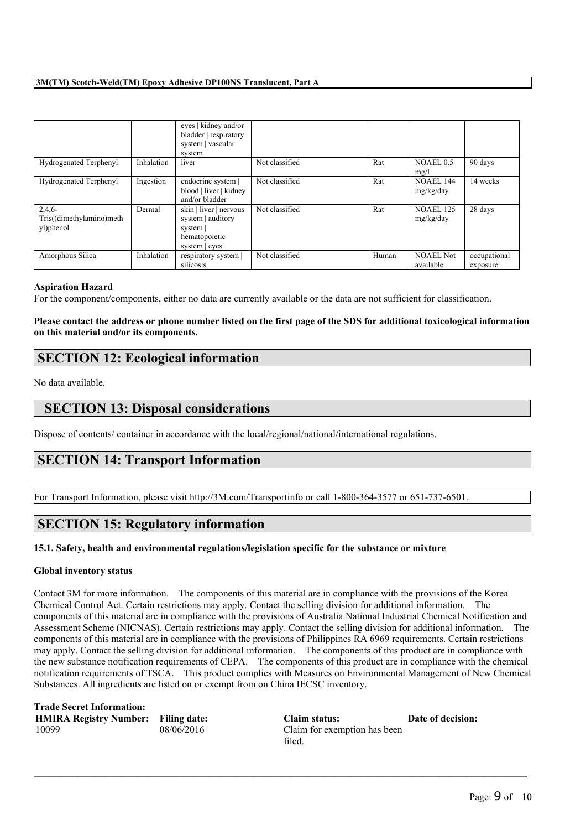|                                                |            | eyes   kidney and/or<br>bladder   respiratory<br>system   vascular<br>system            |                |       |                               |                          |
|------------------------------------------------|------------|-----------------------------------------------------------------------------------------|----------------|-------|-------------------------------|--------------------------|
| Hydrogenated Terphenyl                         | Inhalation | liver                                                                                   | Not classified | Rat   | <b>NOAEL 0.5</b><br>mg/l      | 90 days                  |
| Hydrogenated Terphenyl                         | Ingestion  | endocrine system  <br>blood   liver   kidney<br>and/or bladder                          | Not classified | Rat   | <b>NOAEL 144</b><br>mg/kg/day | 14 weeks                 |
| 2,4,6<br>Tris((dimethylamino)meth<br>yl)phenol | Dermal     | skin   liver   nervous<br>system   auditory<br>system<br>hematopoietic<br>system   eyes | Not classified | Rat   | <b>NOAEL 125</b><br>mg/kg/day | 28 days                  |
| Amorphous Silica                               | Inhalation | respiratory system<br>silicosis                                                         | Not classified | Human | <b>NOAEL Not</b><br>available | occupational<br>exposure |

#### **Aspiration Hazard**

For the component/components, either no data are currently available or the data are not sufficient for classification.

# Please contact the address or phone number listed on the first page of the SDS for additional toxicological information **on this material and/or its components.**

# **SECTION 12: Ecological information**

No data available.

# **SECTION 13: Disposal considerations**

Dispose of contents/ container in accordance with the local/regional/national/international regulations.

# **SECTION 14: Transport Information**

For Transport Information, please visit http://3M.com/Transportinfo or call 1-800-364-3577 or 651-737-6501.

# **SECTION 15: Regulatory information**

# **15.1. Safety, health and environmental regulations/legislation specific for the substance or mixture**

# **Global inventory status**

Contact 3M for more information. The components of this material are in compliance with the provisions of the Korea Chemical Control Act. Certain restrictions may apply. Contact the selling division for additional information. The components of this material are in compliance with the provisions of Australia National Industrial Chemical Notification and Assessment Scheme (NICNAS). Certain restrictions may apply. Contact the selling division for additional information. The components of this material are in compliance with the provisions of Philippines RA 6969 requirements. Certain restrictions may apply. Contact the selling division for additional information. The components of this product are in compliance with the new substance notification requirements of CEPA. The components of this product are in compliance with the chemical notification requirements of TSCA. This product complies with Measures on Environmental Management of New Chemical Substances. All ingredients are listed on or exempt from on China IECSC inventory.

 $\mathcal{L}_\mathcal{L} = \{ \mathcal{L}_\mathcal{L} = \{ \mathcal{L}_\mathcal{L} = \{ \mathcal{L}_\mathcal{L} = \{ \mathcal{L}_\mathcal{L} = \{ \mathcal{L}_\mathcal{L} = \{ \mathcal{L}_\mathcal{L} = \{ \mathcal{L}_\mathcal{L} = \{ \mathcal{L}_\mathcal{L} = \{ \mathcal{L}_\mathcal{L} = \{ \mathcal{L}_\mathcal{L} = \{ \mathcal{L}_\mathcal{L} = \{ \mathcal{L}_\mathcal{L} = \{ \mathcal{L}_\mathcal{L} = \{ \mathcal{L}_\mathcal{$ 

**Trade Secret Information: HMIRA Registry Number: Filing date: Claim status: Date of decision:** 10099 08/06/2016 Claim for exemption has been

filed.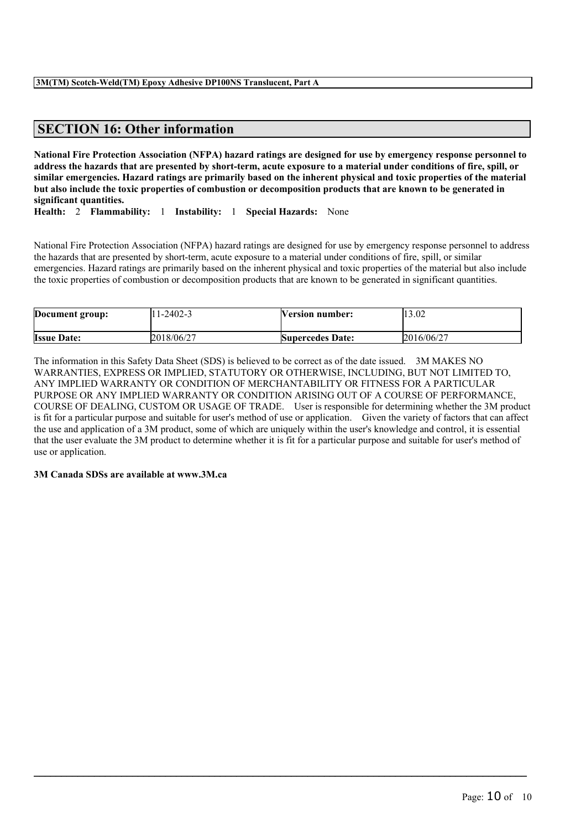# **SECTION 16: Other information**

National Fire Protection Association (NFPA) hazard ratings are designed for use by emergency response personnel to address the hazards that are presented by short-term, acute exposure to a material under conditions of fire, spill, or similar emergencies. Hazard ratings are primarily based on the inherent physical and toxic properties of the material but also include the toxic properties of combustion or decomposition products that are known to be generated in **significant quantities.**

**Health:** 2 **Flammability:** 1 **Instability:** 1 **Special Hazards:** None

National Fire Protection Association (NFPA) hazard ratings are designed for use by emergency response personnel to address the hazards that are presented by short-term, acute exposure to a material under conditions of fire, spill, or similar emergencies. Hazard ratings are primarily based on the inherent physical and toxic properties of the material but also include the toxic properties of combustion or decomposition products that are known to be generated in significant quantities.

| Document group:    | 1-2402-3   | <b>Nersion number:</b>  | 13.02      |
|--------------------|------------|-------------------------|------------|
| <b>Issue Date:</b> | 2018/06/27 | <b>Supercedes Date:</b> | 2016/06/27 |

The information in this Safety Data Sheet (SDS) is believed to be correct as of the date issued. 3M MAKES NO WARRANTIES, EXPRESS OR IMPLIED, STATUTORY OR OTHERWISE, INCLUDING, BUT NOT LIMITED TO, ANY IMPLIED WARRANTY OR CONDITION OF MERCHANTABILITY OR FITNESS FOR A PARTICULAR PURPOSE OR ANY IMPLIED WARRANTY OR CONDITION ARISING OUT OF A COURSE OF PERFORMANCE, COURSE OF DEALING, CUSTOM OR USAGE OF TRADE. User is responsible for determining whether the 3M product is fit for a particular purpose and suitable for user's method of use or application. Given the variety of factors that can affect the use and application of a 3M product, some of which are uniquely within the user's knowledge and control, it is essential that the user evaluate the 3M product to determine whether it is fit for a particular purpose and suitable for user's method of use or application.

 $\mathcal{L}_\mathcal{L} = \{ \mathcal{L}_\mathcal{L} = \{ \mathcal{L}_\mathcal{L} = \{ \mathcal{L}_\mathcal{L} = \{ \mathcal{L}_\mathcal{L} = \{ \mathcal{L}_\mathcal{L} = \{ \mathcal{L}_\mathcal{L} = \{ \mathcal{L}_\mathcal{L} = \{ \mathcal{L}_\mathcal{L} = \{ \mathcal{L}_\mathcal{L} = \{ \mathcal{L}_\mathcal{L} = \{ \mathcal{L}_\mathcal{L} = \{ \mathcal{L}_\mathcal{L} = \{ \mathcal{L}_\mathcal{L} = \{ \mathcal{L}_\mathcal{$ 

# **3M Canada SDSs are available at www.3M.ca**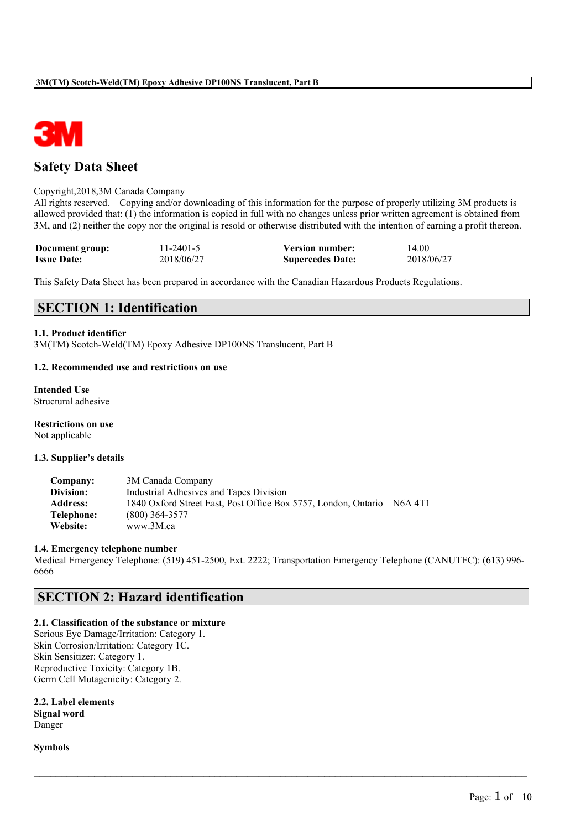

# **Safety Data Sheet**

### Copyright,2018,3M Canada Company

All rights reserved. Copying and/or downloading of this information for the purpose of properly utilizing 3M products is allowed provided that: (1) the information is copied in full with no changes unless prior written agreement is obtained from 3M, and (2) neither the copy nor the original is resold or otherwise distributed with the intention of earning a profit thereon.

| Document group:    | $11 - 2401 - 5$ | <b>Version number:</b>  | 14.00      |
|--------------------|-----------------|-------------------------|------------|
| <b>Issue Date:</b> | 2018/06/27      | <b>Supercedes Date:</b> | 2018/06/27 |

This Safety Data Sheet has been prepared in accordance with the Canadian Hazardous Products Regulations.

# **SECTION 1: Identification**

#### **1.1. Product identifier**

3M(TM) Scotch-Weld(TM) Epoxy Adhesive DP100NS Translucent, Part B

#### **1.2. Recommended use and restrictions on use**

**Intended Use** Structural adhesive

**Restrictions on use** Not applicable

#### **1.3. Supplier's details**

| Company:        | 3M Canada Company                                              |                                  |
|-----------------|----------------------------------------------------------------|----------------------------------|
| Division:       | Industrial Adhesives and Tapes Division                        |                                  |
| <b>Address:</b> | 1840 Oxford Street East, Post Office Box 5757, London, Ontario | N <sub>6</sub> A 4T <sub>1</sub> |
| Telephone:      | $(800)$ 364-3577                                               |                                  |
| Website:        | www.3M.ca                                                      |                                  |

#### **1.4. Emergency telephone number**

Medical Emergency Telephone: (519) 451-2500, Ext. 2222; Transportation Emergency Telephone (CANUTEC): (613) 996- 6666

 $\mathcal{L}_\mathcal{L} = \{ \mathcal{L}_\mathcal{L} = \{ \mathcal{L}_\mathcal{L} = \{ \mathcal{L}_\mathcal{L} = \{ \mathcal{L}_\mathcal{L} = \{ \mathcal{L}_\mathcal{L} = \{ \mathcal{L}_\mathcal{L} = \{ \mathcal{L}_\mathcal{L} = \{ \mathcal{L}_\mathcal{L} = \{ \mathcal{L}_\mathcal{L} = \{ \mathcal{L}_\mathcal{L} = \{ \mathcal{L}_\mathcal{L} = \{ \mathcal{L}_\mathcal{L} = \{ \mathcal{L}_\mathcal{L} = \{ \mathcal{L}_\mathcal{$ 

# **SECTION 2: Hazard identification**

# **2.1. Classification of the substance or mixture**

Serious Eye Damage/Irritation: Category 1. Skin Corrosion/Irritation: Category 1C. Skin Sensitizer: Category 1. Reproductive Toxicity: Category 1B. Germ Cell Mutagenicity: Category 2.

**2.2. Label elements Signal word** Danger

**Symbols**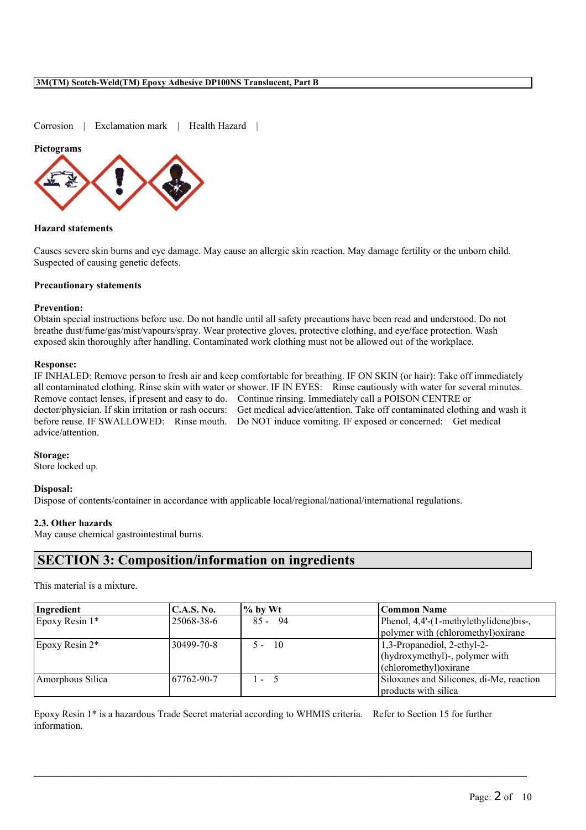Corrosion | Exclamation mark | Health Hazard |

#### **Pictograms**



#### **Hazard statements**

Causes severe skin burns and eye damage. May cause an allergic skin reaction. May damage fertility or the unborn child. Suspected of causing genetic defects.

### **Precautionary statements**

#### **Prevention:**

Obtain special instructions before use. Do not handle until all safety precautions have been read and understood. Do not breathe dust/fume/gas/mist/vapours/spray. Wear protective gloves, protective clothing, and eye/face protection. Wash exposed skin thoroughly after handling. Contaminated work clothing must not be allowed out of the workplace.

#### **Response:**

IF INHALED: Remove person to fresh air and keep comfortable for breathing. IF ON SKIN (or hair): Take off immediately all contaminated clothing. Rinse skin with water or shower. IF IN EYES: Rinse cautiously with water for several minutes. Remove contact lenses, if present and easy to do. Continue rinsing. Immediately call a POISON CENTRE or doctor/physician. If skin irritation or rash occurs: Get medical advice/attention. Take off contaminated clothing and wash it before reuse. IF SWALLOWED: Rinse mouth. Do NOT induce vomiting. IF exposed or concerned: Get medical advice/attention.

#### **Storage:**

Store locked up.

#### **Disposal:**

Dispose of contents/container in accordance with applicable local/regional/national/international regulations.

### **2.3. Other hazards**

May cause chemical gastrointestinal burns.

# **SECTION 3: Composition/information on ingredients**

This material is a mixture.

| Ingredient       | <b>C.A.S. No.</b> | $\%$ by Wt    | Common Name                              |
|------------------|-------------------|---------------|------------------------------------------|
| Epoxy Resin 1*   | 25068-38-6        | -94<br>$85 -$ | Phenol, 4,4'-(1-methylethylidene)bis-,   |
|                  |                   |               | polymer with (chloromethyl) oxirane      |
| Epoxy Resin 2*   | 30499-70-8        | - 10<br>$5 -$ | $1,3$ -Propanediol, 2-ethyl-2-           |
|                  |                   |               | (hydroxymethyl)-, polymer with           |
|                  |                   |               | (chloromethyl) oxirane                   |
| Amorphous Silica | 67762-90-7        | $-5$          | Siloxanes and Silicones, di-Me, reaction |
|                  |                   |               | products with silica                     |

Epoxy Resin 1\* is a hazardous Trade Secret material according to WHMIS criteria. Refer to Section 15 for further information.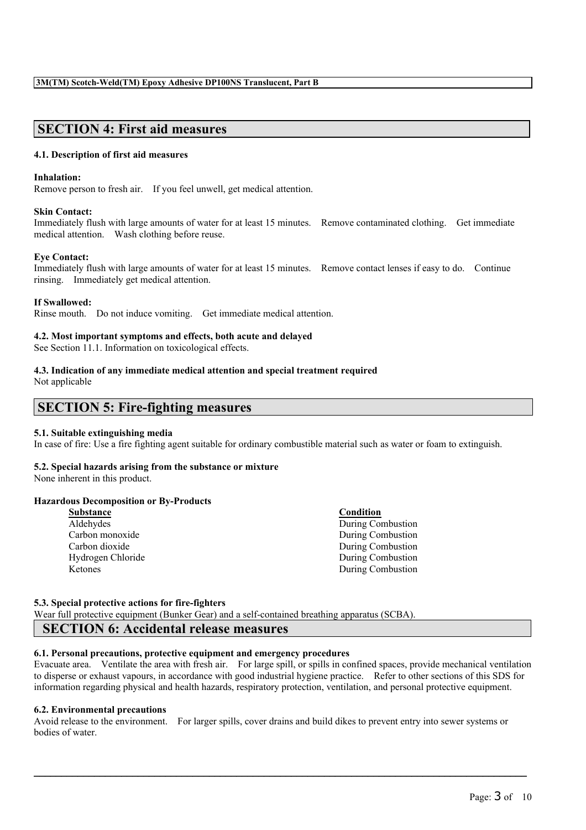# **SECTION 4: First aid measures**

#### **4.1. Description of first aid measures**

#### **Inhalation:**

Remove person to fresh air. If you feel unwell, get medical attention.

#### **Skin Contact:**

Immediately flush with large amounts of water for at least 15 minutes. Remove contaminated clothing. Get immediate medical attention. Wash clothing before reuse.

#### **Eye Contact:**

Immediately flush with large amounts of water for at least 15 minutes. Remove contact lenses if easy to do. Continue rinsing. Immediately get medical attention.

#### **If Swallowed:**

Rinse mouth. Do not induce vomiting. Get immediate medical attention.

#### **4.2. Most important symptoms and effects, both acute and delayed**

See Section 11.1. Information on toxicological effects.

# **4.3. Indication of any immediate medical attention and special treatment required**

Not applicable

# **SECTION 5: Fire-fighting measures**

#### **5.1. Suitable extinguishing media**

In case of fire: Use a fire fighting agent suitable for ordinary combustible material such as water or foam to extinguish.

#### **5.2. Special hazards arising from the substance or mixture**

None inherent in this product.

#### **Hazardous Decomposition or By-Products**

| <b>Substance</b>  | Condition         |
|-------------------|-------------------|
| Aldehydes         | During Combustion |
| Carbon monoxide   | During Combustion |
| Carbon dioxide    | During Combustion |
| Hydrogen Chloride | During Combustion |
| Ketones           | During Combustion |

#### **5.3. Special protective actions for fire-fighters**

Wear full protective equipment (Bunker Gear) and a self-contained breathing apparatus (SCBA).

# **SECTION 6: Accidental release measures**

### **6.1. Personal precautions, protective equipment and emergency procedures**

Evacuate area. Ventilate the area with fresh air. For large spill, or spills in confined spaces, provide mechanical ventilation to disperse or exhaust vapours, in accordance with good industrial hygiene practice. Refer to other sections of this SDS for information regarding physical and health hazards, respiratory protection, ventilation, and personal protective equipment.

#### **6.2. Environmental precautions**

Avoid release to the environment. For larger spills, cover drains and build dikes to prevent entry into sewer systems or bodies of water.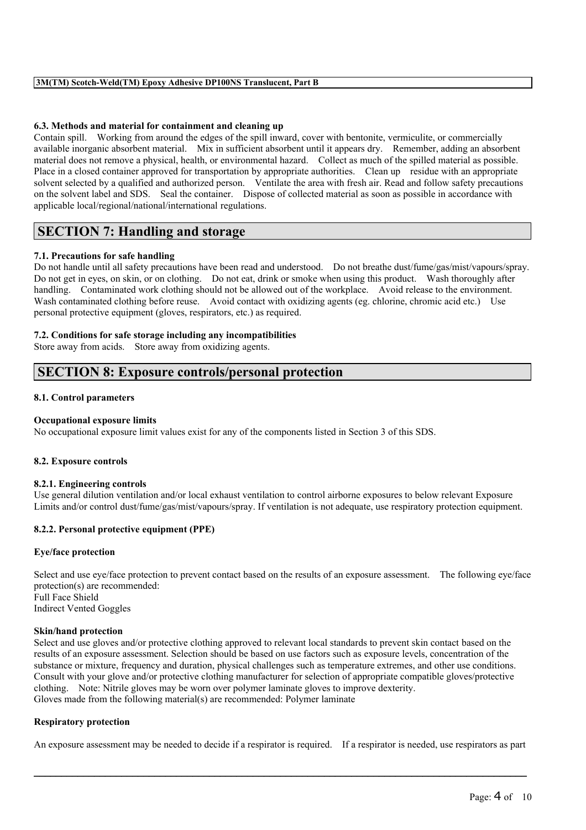# **6.3. Methods and material for containment and cleaning up**

Contain spill. Working from around the edges of the spill inward, cover with bentonite, vermiculite, or commercially available inorganic absorbent material. Mix in sufficient absorbent until it appears dry. Remember, adding an absorbent material does not remove a physical, health, or environmental hazard. Collect as much of the spilled material as possible. Place in a closed container approved for transportation by appropriate authorities. Clean up residue with an appropriate solvent selected by a qualified and authorized person. Ventilate the area with fresh air. Read and follow safety precautions on the solvent label and SDS. Seal the container. Dispose of collected material as soon as possible in accordance with applicable local/regional/national/international regulations.

# **SECTION 7: Handling and storage**

# **7.1. Precautions for safe handling**

Do not handle until all safety precautions have been read and understood. Do not breathe dust/fume/gas/mist/vapours/spray. Do not get in eyes, on skin, or on clothing. Do not eat, drink or smoke when using this product. Wash thoroughly after handling. Contaminated work clothing should not be allowed out of the workplace. Avoid release to the environment. Wash contaminated clothing before reuse. Avoid contact with oxidizing agents (eg. chlorine, chromic acid etc.) Use personal protective equipment (gloves, respirators, etc.) as required.

# **7.2. Conditions for safe storage including any incompatibilities**

Store away from acids. Store away from oxidizing agents.

# **SECTION 8: Exposure controls/personal protection**

# **8.1. Control parameters**

# **Occupational exposure limits**

No occupational exposure limit values exist for any of the components listed in Section 3 of this SDS.

#### **8.2. Exposure controls**

# **8.2.1. Engineering controls**

Use general dilution ventilation and/or local exhaust ventilation to control airborne exposures to below relevant Exposure Limits and/or control dust/fume/gas/mist/vapours/spray. If ventilation is not adequate, use respiratory protection equipment.

# **8.2.2. Personal protective equipment (PPE)**

# **Eye/face protection**

Select and use eye/face protection to prevent contact based on the results of an exposure assessment. The following eye/face protection(s) are recommended: Full Face Shield Indirect Vented Goggles

# **Skin/hand protection**

Select and use gloves and/or protective clothing approved to relevant local standards to prevent skin contact based on the results of an exposure assessment. Selection should be based on use factors such as exposure levels, concentration of the substance or mixture, frequency and duration, physical challenges such as temperature extremes, and other use conditions. Consult with your glove and/or protective clothing manufacturer for selection of appropriate compatible gloves/protective clothing. Note: Nitrile gloves may be worn over polymer laminate gloves to improve dexterity. Gloves made from the following material(s) are recommended: Polymer laminate

# **Respiratory protection**

An exposure assessment may be needed to decide if a respirator is required. If a respirator is needed, use respirators as part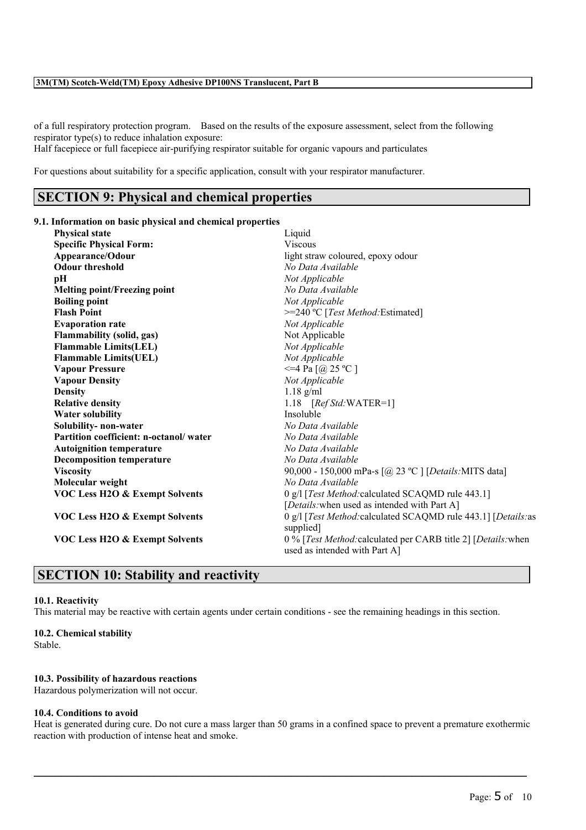of a full respiratory protection program. Based on the results of the exposure assessment, select from the following respirator type(s) to reduce inhalation exposure:

Half facepiece or full facepiece air-purifying respirator suitable for organic vapours and particulates

For questions about suitability for a specific application, consult with your respirator manufacturer.

# **SECTION 9: Physical and chemical properties**

#### **9.1. Information on basic physical and chemical properties**

| <b>Physical state</b>                     | Liquid                                                                                         |
|-------------------------------------------|------------------------------------------------------------------------------------------------|
| <b>Specific Physical Form:</b>            | <b>Viscous</b>                                                                                 |
| Appearance/Odour                          | light straw coloured, epoxy odour                                                              |
| <b>Odour threshold</b>                    | No Data Available                                                                              |
| pН                                        | Not Applicable                                                                                 |
| <b>Melting point/Freezing point</b>       | No Data Available                                                                              |
| <b>Boiling point</b>                      | Not Applicable                                                                                 |
| <b>Flash Point</b>                        | >=240 °C [Test Method: Estimated]                                                              |
| <b>Evaporation rate</b>                   | Not Applicable                                                                                 |
| <b>Flammability (solid, gas)</b>          | Not Applicable                                                                                 |
| <b>Flammable Limits(LEL)</b>              | Not Applicable                                                                                 |
| <b>Flammable Limits(UEL)</b>              | Not Applicable                                                                                 |
| <b>Vapour Pressure</b>                    | $\leq$ =4 Pa [@ 25 °C ]                                                                        |
| <b>Vapour Density</b>                     | Not Applicable                                                                                 |
| <b>Density</b>                            | $1.18$ g/ml                                                                                    |
| <b>Relative density</b>                   | 1.18 $[RefStd:WATER=1]$                                                                        |
| <b>Water solubility</b>                   | Insoluble                                                                                      |
| Solubility- non-water                     | No Data Available                                                                              |
| Partition coefficient: n-octanol/water    | No Data Available                                                                              |
| <b>Autoignition temperature</b>           | No Data Available                                                                              |
| <b>Decomposition temperature</b>          | No Data Available                                                                              |
| <b>Viscosity</b>                          | 90,000 - 150,000 mPa-s [@ 23 °C ] [Details: MITS data]                                         |
| Molecular weight                          | No Data Available                                                                              |
| <b>VOC Less H2O &amp; Exempt Solvents</b> | 0 g/l [Test Method: calculated SCAQMD rule 443.1]                                              |
|                                           | [Details: when used as intended with Part A]                                                   |
| <b>VOC Less H2O &amp; Exempt Solvents</b> | 0 g/l [Test Method: calculated SCAQMD rule 443.1] [Details: as<br>supplied]                    |
| <b>VOC Less H2O &amp; Exempt Solvents</b> | 0 % [Test Method: calculated per CARB title 2] [Details: when<br>used as intended with Part A] |

# **SECTION 10: Stability and reactivity**

# **10.1. Reactivity**

This material may be reactive with certain agents under certain conditions - see the remaining headings in this section.

#### **10.2. Chemical stability**

Stable.

### **10.3. Possibility of hazardous reactions**

Hazardous polymerization will not occur.

# **10.4. Conditions to avoid**

Heat is generated during cure. Do not cure a mass larger than 50 grams in a confined space to prevent a premature exothermic reaction with production of intense heat and smoke.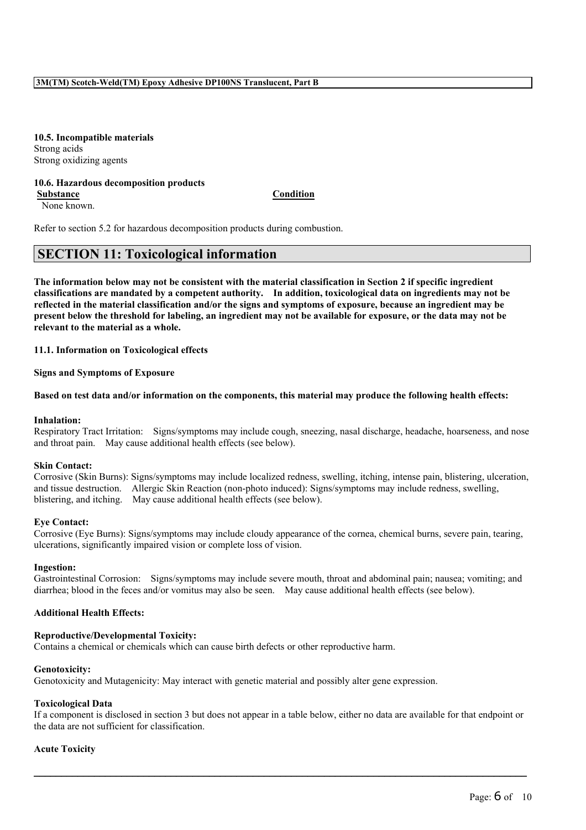**10.5. Incompatible materials** Strong acids Strong oxidizing agents

#### **10.6. Hazardous decomposition products Substance Condition**

None known.

Refer to section 5.2 for hazardous decomposition products during combustion.

# **SECTION 11: Toxicological information**

The information below may not be consistent with the material classification in Section 2 if specific ingredient **classifications are mandated by a competent authority. In addition, toxicological data on ingredients may not be** reflected in the material classification and/or the signs and symptoms of exposure, because an ingredient may be present below the threshold for labeling, an ingredient may not be available for exposure, or the data may not be **relevant to the material as a whole.**

**11.1. Information on Toxicological effects**

**Signs and Symptoms of Exposure**

#### Based on test data and/or information on the components, this material may produce the following health effects:

#### **Inhalation:**

Respiratory Tract Irritation: Signs/symptoms may include cough, sneezing, nasal discharge, headache, hoarseness, and nose and throat pain. May cause additional health effects (see below).

#### **Skin Contact:**

Corrosive (Skin Burns): Signs/symptoms may include localized redness, swelling, itching, intense pain, blistering, ulceration, and tissue destruction. Allergic Skin Reaction (non-photo induced): Signs/symptoms may include redness, swelling, blistering, and itching. May cause additional health effects (see below).

#### **Eye Contact:**

Corrosive (Eye Burns): Signs/symptoms may include cloudy appearance of the cornea, chemical burns, severe pain, tearing, ulcerations, significantly impaired vision or complete loss of vision.

#### **Ingestion:**

Gastrointestinal Corrosion: Signs/symptoms may include severe mouth, throat and abdominal pain; nausea; vomiting; and diarrhea; blood in the feces and/or vomitus may also be seen. May cause additional health effects (see below).

#### **Additional Health Effects:**

#### **Reproductive/Developmental Toxicity:**

Contains a chemical or chemicals which can cause birth defects or other reproductive harm.

#### **Genotoxicity:**

Genotoxicity and Mutagenicity: May interact with genetic material and possibly alter gene expression.

#### **Toxicological Data**

If a component is disclosed in section 3 but does not appear in a table below, either no data are available for that endpoint or the data are not sufficient for classification.

 $\mathcal{L}_\mathcal{L} = \{ \mathcal{L}_\mathcal{L} = \{ \mathcal{L}_\mathcal{L} = \{ \mathcal{L}_\mathcal{L} = \{ \mathcal{L}_\mathcal{L} = \{ \mathcal{L}_\mathcal{L} = \{ \mathcal{L}_\mathcal{L} = \{ \mathcal{L}_\mathcal{L} = \{ \mathcal{L}_\mathcal{L} = \{ \mathcal{L}_\mathcal{L} = \{ \mathcal{L}_\mathcal{L} = \{ \mathcal{L}_\mathcal{L} = \{ \mathcal{L}_\mathcal{L} = \{ \mathcal{L}_\mathcal{L} = \{ \mathcal{L}_\mathcal{$ 

#### **Acute Toxicity**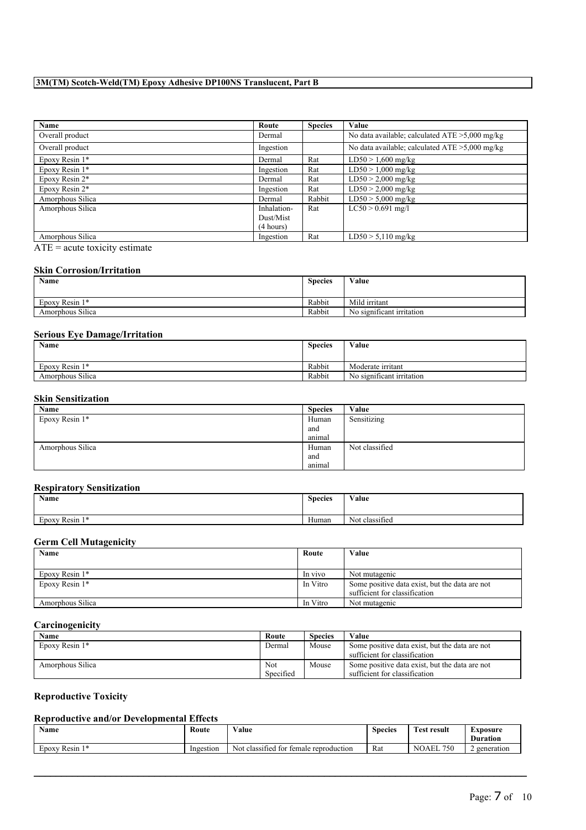| Name             | Route       | <b>Species</b> | Value                                             |
|------------------|-------------|----------------|---------------------------------------------------|
| Overall product  | Dermal      |                | No data available; calculated $ATE > 5,000$ mg/kg |
| Overall product  | Ingestion   |                | No data available; calculated $ATE > 5,000$ mg/kg |
| Epoxy Resin 1*   | Dermal      | Rat            | $LD50 > 1,600$ mg/kg                              |
| Epoxy Resin 1*   | Ingestion   | Rat            | $LD50 > 1,000$ mg/kg                              |
| Epoxy Resin 2*   | Dermal      | Rat            | $LD50 > 2,000$ mg/kg                              |
| Epoxy Resin 2*   | Ingestion   | Rat            | $LD50 > 2,000$ mg/kg                              |
| Amorphous Silica | Dermal      | Rabbit         | $LD50 > 5,000$ mg/kg                              |
| Amorphous Silica | Inhalation- | Rat            | $LC50 > 0.691$ mg/l                               |
|                  | Dust/Mist   |                |                                                   |
|                  | (4 hours)   |                |                                                   |
| Amorphous Silica | Ingestion   | Rat            | $LD50 > 5,110$ mg/kg                              |

 $\overline{ATE}$  = acute toxicity estimate

# **Skin Corrosion/Irritation**

| <b>Name</b>      | <b>Species</b> | Value                     |
|------------------|----------------|---------------------------|
| Epoxy Resin 1*   | Rabbit         | Mild irritant             |
| Amorphous Silica | Rabbit         | No significant irritation |

# **Serious Eye Damage/Irritation**

| <b>Name</b>         | <b>Species</b> | Value                     |
|---------------------|----------------|---------------------------|
| Epoxy Resin<br>$1*$ | Rabbit         | Moderate irritant         |
| Amorphous Silica    | Rabbit         | No significant irritation |

# **Skin Sensitization**

| Name             | <b>Species</b> | Value          |
|------------------|----------------|----------------|
| Epoxy Resin 1*   | Human          | Sensitizing    |
|                  | and            |                |
|                  | animal         |                |
| Amorphous Silica | Human          | Not classified |
|                  | and            |                |
|                  | animal         |                |

# **Respiratory Sensitization**

| Name                                              | <b>Species</b> | Value          |
|---------------------------------------------------|----------------|----------------|
| $\sim$<br>Resin<br><b>Mark</b><br>EDOXV<br>$\sim$ | Human          | Not classified |

# **Germ Cell Mutagenicity**

| Name             | Route    | Value                                          |
|------------------|----------|------------------------------------------------|
|                  |          |                                                |
| Epoxy Resin 1*   | In vivo  | Not mutagenic                                  |
| Epoxy Resin 1*   | In Vitro | Some positive data exist, but the data are not |
|                  |          | sufficient for classification                  |
| Amorphous Silica | In Vitro | Not mutagenic                                  |

# **Carcinogenicity**

| Name             | Route            | <b>Species</b> | Value                                                                           |
|------------------|------------------|----------------|---------------------------------------------------------------------------------|
| Epoxy Resin $1*$ | Dermal           | Mouse          | Some positive data exist, but the data are not<br>sufficient for classification |
| Amorphous Silica | Not<br>Specified | Mouse          | Some positive data exist, but the data are not<br>sufficient for classification |

# **Reproductive Toxicity**

# **Reproductive and/or Developmental Effects**

| Name           | Route     | $\mathbf{v}$ $\mathbf{v}$<br>√alue<br>.         | $\sim$<br><b>Species</b> | -<br>'est<br>result              | LXposure<br><b>Duration</b> |
|----------------|-----------|-------------------------------------------------|--------------------------|----------------------------------|-----------------------------|
| Resin<br>EDOXV | Ingestion | classified<br>temale reproduction<br>Not<br>tor | Rat                      | 750<br>$A E^{\pi}$<br>NC<br>'ALL | generation                  |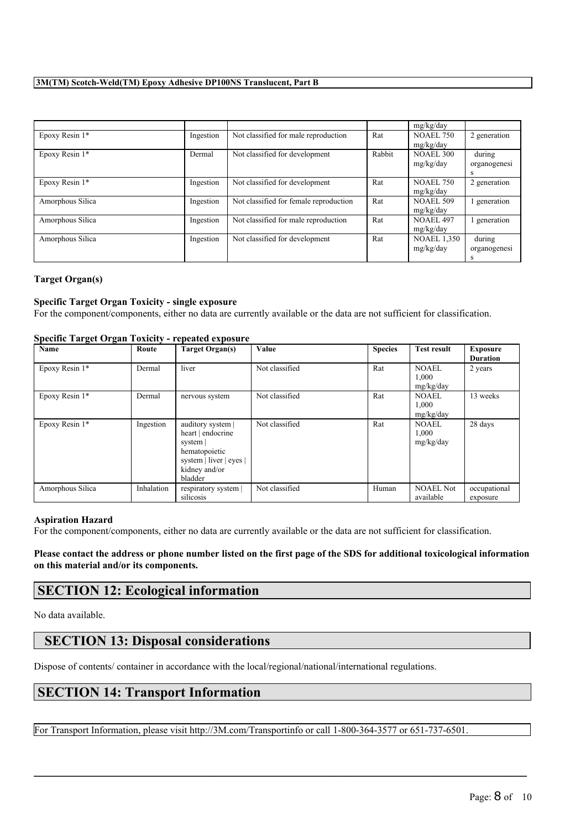|                  |           |                                        |        | mg/kg/day          |              |
|------------------|-----------|----------------------------------------|--------|--------------------|--------------|
| Epoxy Resin 1*   | Ingestion | Not classified for male reproduction   | Rat    | <b>NOAEL 750</b>   | 2 generation |
|                  |           |                                        |        | mg/kg/day          |              |
| Epoxy Resin 1*   | Dermal    | Not classified for development         | Rabbit | <b>NOAEL 300</b>   | during       |
|                  |           |                                        |        | mg/kg/day          | organogenesi |
|                  |           |                                        |        |                    | s            |
| Epoxy Resin 1*   | Ingestion | Not classified for development         | Rat    | <b>NOAEL 750</b>   | 2 generation |
|                  |           |                                        |        | mg/kg/day          |              |
| Amorphous Silica | Ingestion | Not classified for female reproduction | Rat    | <b>NOAEL 509</b>   | generation   |
|                  |           |                                        |        | mg/kg/day          |              |
| Amorphous Silica | Ingestion | Not classified for male reproduction   | Rat    | <b>NOAEL 497</b>   | generation   |
|                  |           |                                        |        | mg/kg/day          |              |
| Amorphous Silica | Ingestion | Not classified for development         | Rat    | <b>NOAEL 1,350</b> | during       |
|                  |           |                                        |        | mg/kg/day          | organogenesi |
|                  |           |                                        |        |                    | s            |

# **Target Organ(s)**

# **Specific Target Organ Toxicity - single exposure**

For the component/components, either no data are currently available or the data are not sufficient for classification.

|                  | Specific Target Organ Toxicity - repeated exposure |                                                                                                                            |                |                |                                    |                                    |  |  |
|------------------|----------------------------------------------------|----------------------------------------------------------------------------------------------------------------------------|----------------|----------------|------------------------------------|------------------------------------|--|--|
| Name             | Route                                              | Target Organ(s)                                                                                                            | Value          | <b>Species</b> | <b>Test result</b>                 | <b>Exposure</b><br><b>Duration</b> |  |  |
| Epoxy Resin 1*   | Dermal                                             | liver                                                                                                                      | Not classified | Rat            | <b>NOAEL</b><br>1,000<br>mg/kg/day | 2 years                            |  |  |
| Epoxy Resin 1*   | Dermal                                             | nervous system                                                                                                             | Not classified | Rat            | <b>NOAEL</b><br>1.000<br>mg/kg/day | 13 weeks                           |  |  |
| Epoxy Resin 1*   | Ingestion                                          | auditory system  <br>heart   endocrine<br>system  <br>hematopoietic<br>system   liver   eyes  <br>kidney and/or<br>bladder | Not classified | Rat            | <b>NOAEL</b><br>1,000<br>mg/kg/day | 28 days                            |  |  |
| Amorphous Silica | Inhalation                                         | respiratory system  <br>silicosis                                                                                          | Not classified | Human          | <b>NOAEL Not</b><br>available      | occupational<br>exposure           |  |  |

#### **Specific Target Organ Toxicity - repeated exposure**

#### **Aspiration Hazard**

For the component/components, either no data are currently available or the data are not sufficient for classification.

Please contact the address or phone number listed on the first page of the SDS for additional toxicological information **on this material and/or its components.**

# **SECTION 12: Ecological information**

No data available.

# **SECTION 13: Disposal considerations**

Dispose of contents/ container in accordance with the local/regional/national/international regulations.

# **SECTION 14: Transport Information**

For Transport Information, please visit http://3M.com/Transportinfo or call 1-800-364-3577 or 651-737-6501.